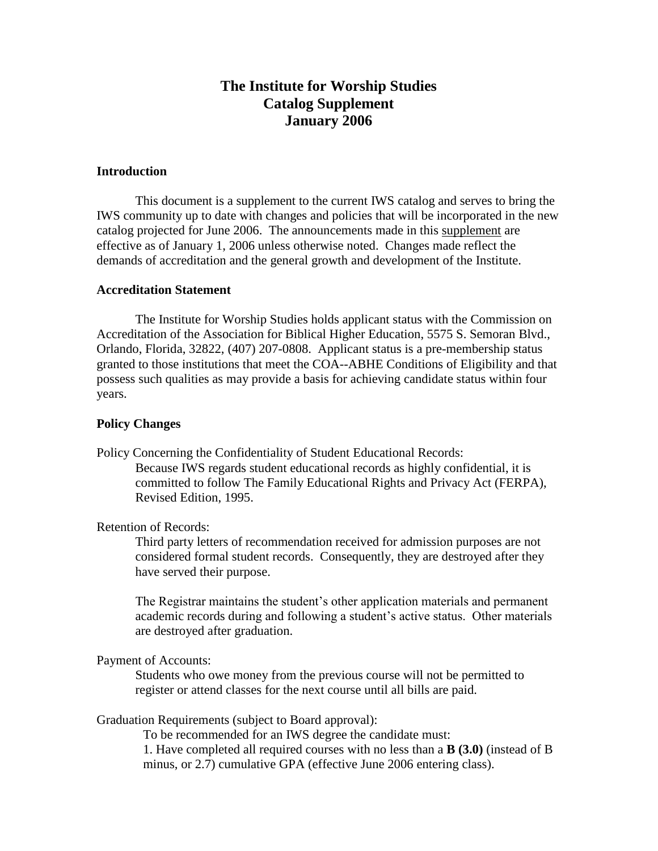# **The Institute for Worship Studies Catalog Supplement January 2006**

# **Introduction**

This document is a supplement to the current IWS catalog and serves to bring the IWS community up to date with changes and policies that will be incorporated in the new catalog projected for June 2006. The announcements made in this supplement are effective as of January 1, 2006 unless otherwise noted. Changes made reflect the demands of accreditation and the general growth and development of the Institute.

### **Accreditation Statement**

The Institute for Worship Studies holds applicant status with the Commission on Accreditation of the Association for Biblical Higher Education, 5575 S. Semoran Blvd., Orlando, Florida, 32822, (407) 207-0808. Applicant status is a pre-membership status granted to those institutions that meet the COA--ABHE Conditions of Eligibility and that possess such qualities as may provide a basis for achieving candidate status within four years.

### **Policy Changes**

Policy Concerning the Confidentiality of Student Educational Records: Because IWS regards student educational records as highly confidential, it is

committed to follow The Family Educational Rights and Privacy Act (FERPA), Revised Edition, 1995.

Retention of Records:

Third party letters of recommendation received for admission purposes are not considered formal student records. Consequently, they are destroyed after they have served their purpose.

The Registrar maintains the student's other application materials and permanent academic records during and following a student's active status. Other materials are destroyed after graduation.

### Payment of Accounts:

Students who owe money from the previous course will not be permitted to register or attend classes for the next course until all bills are paid.

Graduation Requirements (subject to Board approval):

To be recommended for an IWS degree the candidate must:

1. Have completed all required courses with no less than a **B (3.0)** (instead of B minus, or 2.7) cumulative GPA (effective June 2006 entering class).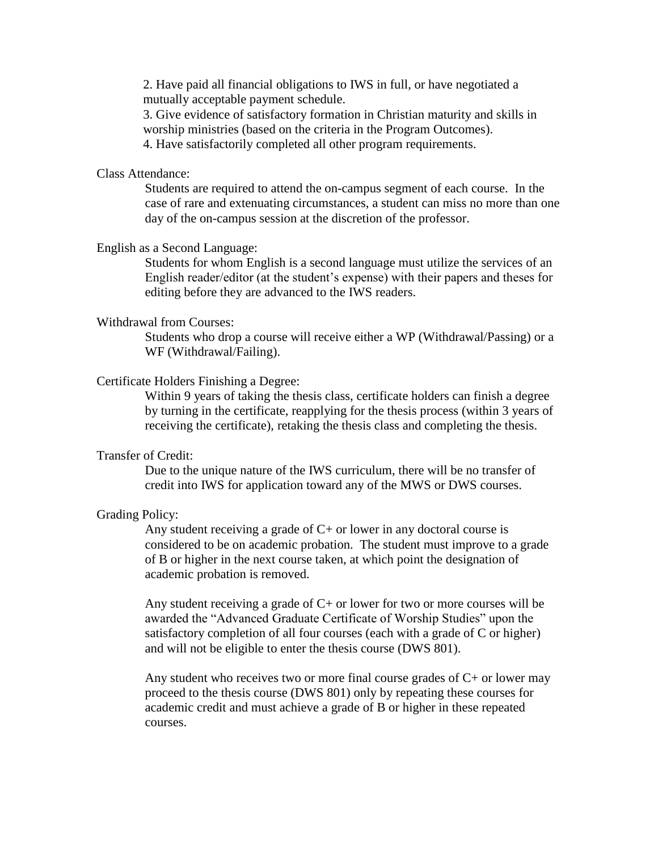2. Have paid all financial obligations to IWS in full, or have negotiated a mutually acceptable payment schedule.

3. Give evidence of satisfactory formation in Christian maturity and skills in worship ministries (based on the criteria in the Program Outcomes).

4. Have satisfactorily completed all other program requirements.

# Class Attendance:

Students are required to attend the on-campus segment of each course. In the case of rare and extenuating circumstances, a student can miss no more than one day of the on-campus session at the discretion of the professor.

## English as a Second Language:

Students for whom English is a second language must utilize the services of an English reader/editor (at the student's expense) with their papers and theses for editing before they are advanced to the IWS readers.

### Withdrawal from Courses:

Students who drop a course will receive either a WP (Withdrawal/Passing) or a WF (Withdrawal/Failing).

# Certificate Holders Finishing a Degree:

Within 9 years of taking the thesis class, certificate holders can finish a degree by turning in the certificate, reapplying for the thesis process (within 3 years of receiving the certificate), retaking the thesis class and completing the thesis.

# Transfer of Credit:

Due to the unique nature of the IWS curriculum, there will be no transfer of credit into IWS for application toward any of the MWS or DWS courses.

### Grading Policy:

Any student receiving a grade of  $C<sub>+</sub>$  or lower in any doctoral course is considered to be on academic probation. The student must improve to a grade of B or higher in the next course taken, at which point the designation of academic probation is removed.

Any student receiving a grade of  $C<sub>+</sub>$  or lower for two or more courses will be awarded the "Advanced Graduate Certificate of Worship Studies" upon the satisfactory completion of all four courses (each with a grade of C or higher) and will not be eligible to enter the thesis course (DWS 801).

Any student who receives two or more final course grades of  $C<sub>+</sub>$  or lower may proceed to the thesis course (DWS 801) only by repeating these courses for academic credit and must achieve a grade of B or higher in these repeated courses.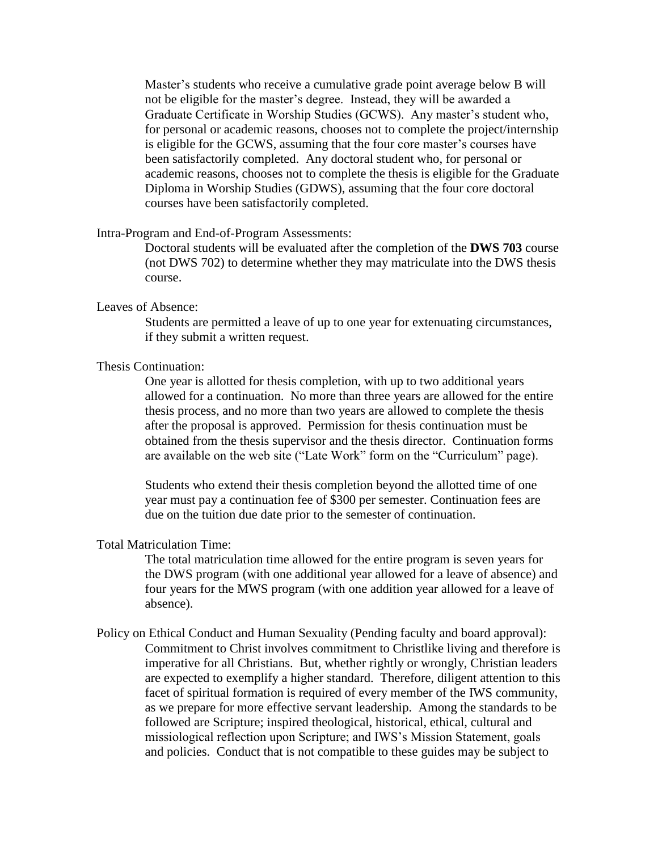Master's students who receive a cumulative grade point average below B will not be eligible for the master's degree. Instead, they will be awarded a Graduate Certificate in Worship Studies (GCWS). Any master's student who, for personal or academic reasons, chooses not to complete the project/internship is eligible for the GCWS, assuming that the four core master's courses have been satisfactorily completed. Any doctoral student who, for personal or academic reasons, chooses not to complete the thesis is eligible for the Graduate Diploma in Worship Studies (GDWS), assuming that the four core doctoral courses have been satisfactorily completed.

#### Intra-Program and End-of-Program Assessments:

Doctoral students will be evaluated after the completion of the **DWS 703** course (not DWS 702) to determine whether they may matriculate into the DWS thesis course.

# Leaves of Absence:

Students are permitted a leave of up to one year for extenuating circumstances, if they submit a written request.

### Thesis Continuation:

One year is allotted for thesis completion, with up to two additional years allowed for a continuation. No more than three years are allowed for the entire thesis process, and no more than two years are allowed to complete the thesis after the proposal is approved. Permission for thesis continuation must be obtained from the thesis supervisor and the thesis director. Continuation forms are available on the web site ("Late Work" form on the "Curriculum" page).

Students who extend their thesis completion beyond the allotted time of one year must pay a continuation fee of \$300 per semester. Continuation fees are due on the tuition due date prior to the semester of continuation.

#### Total Matriculation Time:

The total matriculation time allowed for the entire program is seven years for the DWS program (with one additional year allowed for a leave of absence) and four years for the MWS program (with one addition year allowed for a leave of absence).

Policy on Ethical Conduct and Human Sexuality (Pending faculty and board approval): Commitment to Christ involves commitment to Christlike living and therefore is imperative for all Christians. But, whether rightly or wrongly, Christian leaders are expected to exemplify a higher standard. Therefore, diligent attention to this facet of spiritual formation is required of every member of the IWS community, as we prepare for more effective servant leadership. Among the standards to be followed are Scripture; inspired theological, historical, ethical, cultural and missiological reflection upon Scripture; and IWS's Mission Statement, goals and policies. Conduct that is not compatible to these guides may be subject to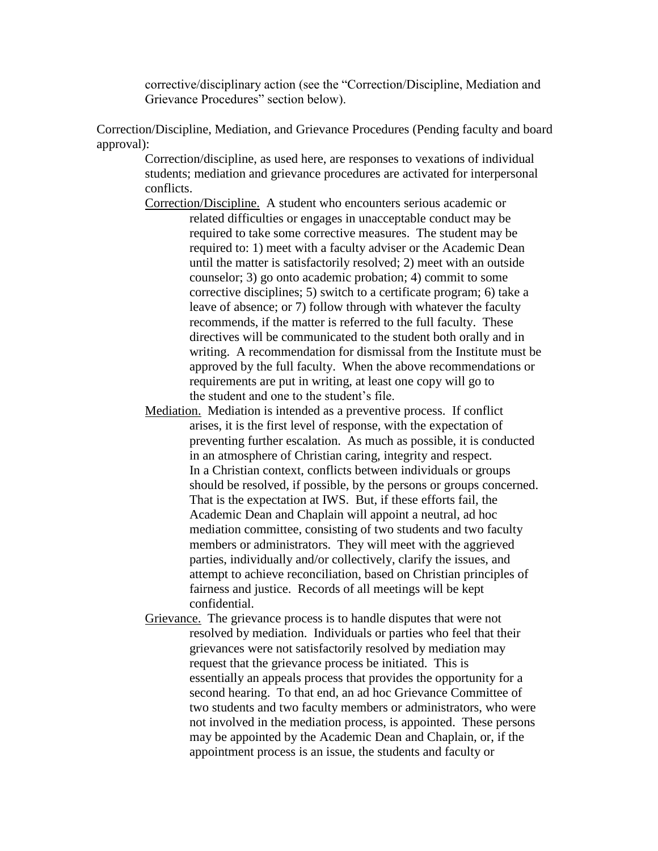corrective/disciplinary action (see the "Correction/Discipline, Mediation and Grievance Procedures" section below).

Correction/Discipline, Mediation, and Grievance Procedures (Pending faculty and board approval):

> Correction/discipline, as used here, are responses to vexations of individual students; mediation and grievance procedures are activated for interpersonal conflicts.

- Correction/Discipline. A student who encounters serious academic or related difficulties or engages in unacceptable conduct may be required to take some corrective measures. The student may be required to: 1) meet with a faculty adviser or the Academic Dean until the matter is satisfactorily resolved; 2) meet with an outside counselor; 3) go onto academic probation; 4) commit to some corrective disciplines; 5) switch to a certificate program; 6) take a leave of absence; or 7) follow through with whatever the faculty recommends, if the matter is referred to the full faculty. These directives will be communicated to the student both orally and in writing. A recommendation for dismissal from the Institute must be approved by the full faculty. When the above recommendations or requirements are put in writing, at least one copy will go to the student and one to the student's file.
- Mediation. Mediation is intended as a preventive process. If conflict arises, it is the first level of response, with the expectation of preventing further escalation. As much as possible, it is conducted in an atmosphere of Christian caring, integrity and respect. In a Christian context, conflicts between individuals or groups should be resolved, if possible, by the persons or groups concerned. That is the expectation at IWS. But, if these efforts fail, the Academic Dean and Chaplain will appoint a neutral, ad hoc mediation committee, consisting of two students and two faculty members or administrators. They will meet with the aggrieved parties, individually and/or collectively, clarify the issues, and attempt to achieve reconciliation, based on Christian principles of fairness and justice. Records of all meetings will be kept confidential.
- Grievance. The grievance process is to handle disputes that were not resolved by mediation. Individuals or parties who feel that their grievances were not satisfactorily resolved by mediation may request that the grievance process be initiated. This is essentially an appeals process that provides the opportunity for a second hearing. To that end, an ad hoc Grievance Committee of two students and two faculty members or administrators, who were not involved in the mediation process, is appointed. These persons may be appointed by the Academic Dean and Chaplain, or, if the appointment process is an issue, the students and faculty or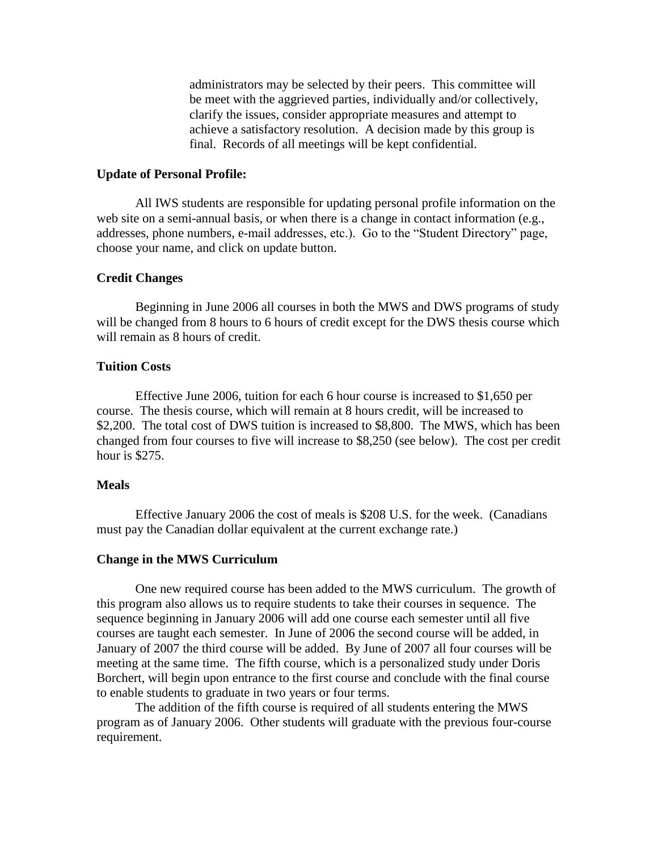administrators may be selected by their peers. This committee will be meet with the aggrieved parties, individually and/or collectively, clarify the issues, consider appropriate measures and attempt to achieve a satisfactory resolution. A decision made by this group is final. Records of all meetings will be kept confidential.

### **Update of Personal Profile:**

All IWS students are responsible for updating personal profile information on the web site on a semi-annual basis, or when there is a change in contact information (e.g., addresses, phone numbers, e-mail addresses, etc.). Go to the "Student Directory" page, choose your name, and click on update button.

### **Credit Changes**

Beginning in June 2006 all courses in both the MWS and DWS programs of study will be changed from 8 hours to 6 hours of credit except for the DWS thesis course which will remain as 8 hours of credit.

### **Tuition Costs**

Effective June 2006, tuition for each 6 hour course is increased to \$1,650 per course. The thesis course, which will remain at 8 hours credit, will be increased to \$2,200. The total cost of DWS tuition is increased to \$8,800. The MWS, which has been changed from four courses to five will increase to \$8,250 (see below). The cost per credit hour is \$275.

### **Meals**

Effective January 2006 the cost of meals is \$208 U.S. for the week. (Canadians must pay the Canadian dollar equivalent at the current exchange rate.)

#### **Change in the MWS Curriculum**

One new required course has been added to the MWS curriculum. The growth of this program also allows us to require students to take their courses in sequence. The sequence beginning in January 2006 will add one course each semester until all five courses are taught each semester. In June of 2006 the second course will be added, in January of 2007 the third course will be added. By June of 2007 all four courses will be meeting at the same time. The fifth course, which is a personalized study under Doris Borchert, will begin upon entrance to the first course and conclude with the final course to enable students to graduate in two years or four terms.

The addition of the fifth course is required of all students entering the MWS program as of January 2006. Other students will graduate with the previous four-course requirement.